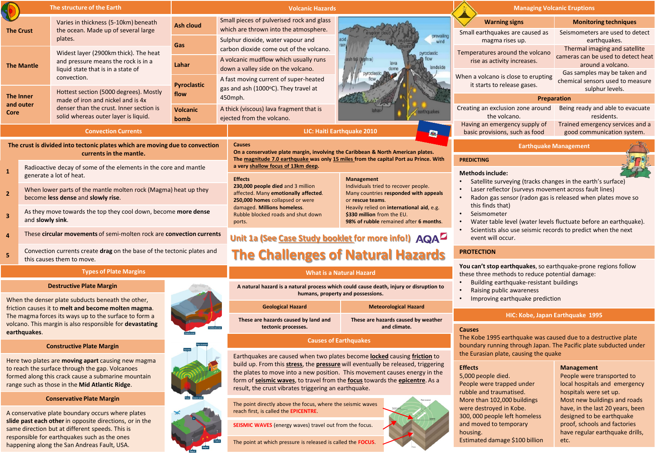|                                                                                                         | The structure of the Earth                                                                                 |                                                                                                                                                                | <b>Volcanic Hazards</b>                              |                                                                                                                                                                                                                                                          | <b>Managing Volcanic Eruptions</b>                                                                                |                                                                                                                                                                                     |                                                                     |                                                                                     |
|---------------------------------------------------------------------------------------------------------|------------------------------------------------------------------------------------------------------------|----------------------------------------------------------------------------------------------------------------------------------------------------------------|------------------------------------------------------|----------------------------------------------------------------------------------------------------------------------------------------------------------------------------------------------------------------------------------------------------------|-------------------------------------------------------------------------------------------------------------------|-------------------------------------------------------------------------------------------------------------------------------------------------------------------------------------|---------------------------------------------------------------------|-------------------------------------------------------------------------------------|
|                                                                                                         | Varies in thickness (5-10km) beneath<br>the ocean. Made up of several large<br><b>The Crust</b><br>plates. |                                                                                                                                                                | <b>Ash cloud</b>                                     | Small pieces of pulverised rock and glass<br>which are thrown into the atmosphere.                                                                                                                                                                       |                                                                                                                   |                                                                                                                                                                                     | <b>Warning signs</b>                                                | <b>Monitoring techniques</b>                                                        |
|                                                                                                         |                                                                                                            |                                                                                                                                                                | Sulphur dioxide, water vapour and                    | prevailing<br>wind                                                                                                                                                                                                                                       |                                                                                                                   | Small earthquakes are caused as<br>magma rises up.                                                                                                                                  | Seismometers are used to detect<br>earthquakes.                     |                                                                                     |
|                                                                                                         |                                                                                                            | Widest layer (2900km thick). The heat<br>and pressure means the rock is in a<br>liquid state that is in a state of<br>convection.                              | Gas                                                  | carbon dioxide come out of the volcano.                                                                                                                                                                                                                  | sh fall (t<br>landslide                                                                                           | Temperatures around the volcano<br>rise as activity increases.                                                                                                                      | Thermal imaging and satellite<br>cameras can be used to detect heat |                                                                                     |
|                                                                                                         | <b>The Mantle</b>                                                                                          |                                                                                                                                                                | Lahar                                                | A volcanic mudflow which usually runs<br>down a valley side on the volcano.                                                                                                                                                                              |                                                                                                                   |                                                                                                                                                                                     | around a volcano.                                                   |                                                                                     |
|                                                                                                         |                                                                                                            |                                                                                                                                                                | <b>Pyroclastic</b>                                   | A fast moving current of super-heated<br>gas and ash (1000°C). They travel at                                                                                                                                                                            |                                                                                                                   |                                                                                                                                                                                     | When a volcano is close to erupting<br>it starts to release gases.  | Gas samples may be taken and<br>chemical sensors used to measure<br>sulphur levels. |
| <b>The Inner</b><br>and outer<br>Core                                                                   |                                                                                                            | Hottest section (5000 degrees). Mostly<br>made of iron and nickel and is 4x<br>denser than the crust. Inner section is<br>solid whereas outer layer is liquid. | flow                                                 | 450mph.                                                                                                                                                                                                                                                  |                                                                                                                   |                                                                                                                                                                                     | Preparation                                                         |                                                                                     |
|                                                                                                         |                                                                                                            |                                                                                                                                                                | Volcanic<br>bomb                                     | A thick (viscous) lava fragment that is<br>ejected from the volcano.                                                                                                                                                                                     |                                                                                                                   |                                                                                                                                                                                     | Creating an exclusion zone around<br>the volcano.                   | Being ready and able to evacuate<br>residents.                                      |
| <b>Convection Currents</b>                                                                              |                                                                                                            | LIC: Haiti Earthquake 2010<br>E.                                                                                                                               |                                                      |                                                                                                                                                                                                                                                          | Having an emergency supply of<br>basic provisions, such as food                                                   | Trained emergency services and a<br>good communication system.                                                                                                                      |                                                                     |                                                                                     |
| The crust is divided into tectonic plates which are moving due to convection<br>currents in the mantle. |                                                                                                            |                                                                                                                                                                |                                                      | <b>Causes</b><br>On a conservative plate margin, involving the Caribbean & North American plates.<br>The magnitude 7.0 earthquake was only 15 miles from the capital Port au Prince. With                                                                |                                                                                                                   | <b>Earthquake Management</b><br><b>PREDICTING</b>                                                                                                                                   |                                                                     |                                                                                     |
| $\mathbf{1}$                                                                                            | Radioactive decay of some of the elements in the core and mantle<br>generate a lot of heat.                |                                                                                                                                                                | a very shallow focus of 13km deep.                   |                                                                                                                                                                                                                                                          |                                                                                                                   | <b>Methods include:</b>                                                                                                                                                             |                                                                     |                                                                                     |
| $\overline{2}$                                                                                          | When lower parts of the mantle molten rock (Magma) heat up they<br>become less dense and slowly rise.      |                                                                                                                                                                |                                                      | <b>Effects</b><br><b>Management</b><br>Individuals tried to recover people.<br>230,000 people died and 3 million<br>affected. Many emotionally affected.<br>Many countries responded with appeals<br>250,000 homes collapsed or were<br>or rescue teams. |                                                                                                                   | Satellite surveying (tracks changes in the earth's surface)<br>Laser reflector (surveys movement across fault lines)<br>Radon gas sensor (radon gas is released when plates move so |                                                                     |                                                                                     |
| $\overline{3}$                                                                                          | As they move towards the top they cool down, become more dense<br>and slowly sink.                         |                                                                                                                                                                |                                                      | damaged. Millions homeless.<br>Rubble blocked roads and shut down<br>ports.                                                                                                                                                                              | Heavily relied on international aid, e.g.<br>\$330 million from the EU.<br>98% of rubble remained after 6 months. | this finds that)<br>Seismometer<br>$\bullet$<br>Water table level (water levels fluctuate before an earthquake).                                                                    |                                                                     |                                                                                     |
| $\overline{a}$                                                                                          | These circular movements of semi-molten rock are convection currents                                       |                                                                                                                                                                | Unit 1a (See Case Study booklet for more info!) AQAL |                                                                                                                                                                                                                                                          | Scientists also use seismic records to predict when the next<br>event will occur.                                 |                                                                                                                                                                                     |                                                                     |                                                                                     |
|                                                                                                         | Convection currents create drag on the base of the tectonic plates and                                     |                                                                                                                                                                |                                                      | The Challenges of Natural Hazards                                                                                                                                                                                                                        |                                                                                                                   | <b>PROTECTION</b>                                                                                                                                                                   |                                                                     |                                                                                     |

# **Types of Plate Margins**

#### **Destructive Plate Margin**

this causes them to move.

When the denser plate subducts beneath the other, friction causes it to **melt and become molten magma**. The magma forces its ways up to the surface to form a volcano. This margin is also responsible for **devastating earthquakes**.

### **Constructive Plate Margin**

Here two plates are **moving apart** causing new magma to reach the surface through the gap. Volcanoes formed along this crack cause a submarine mountain range such as those in the **Mid Atlantic Ridge**.

# **Conservative Plate Margin**

A conservative plate boundary occurs where plates **slide past each other** in opposite directions, or in the same direction but at different speeds. This is responsible for earthquakes such as the ones happening along the San Andreas Fault, USA.



| <b>Geological Hazard</b>                                    | <b>Meteorological Hazard</b>                        |  |  |
|-------------------------------------------------------------|-----------------------------------------------------|--|--|
| These are hazards caused by land and<br>tectonic processes. | These are hazards caused by weather<br>and climate. |  |  |
|                                                             |                                                     |  |  |

**What is a Natural Hazard**

**humans, property and possessions.** 

# **Causes of Earthquakes**

Earthquakes are caused when two plates become **locked** causing **friction** to build up. From this **stress**, the **pressure** will eventually be released, triggering the plates to move into a new position. This movement causes energy in the form of **seismic waves**, to travel from the **focus** towards the **epicentre**. As a result, the crust vibrates triggering an earthquake.

The point directly above the focus, where the seismic waves reach first, is called the **EPICENTRE**.

**SEISMIC WAVES** (energy waves) travel out from the focus.

The point at which pressure is released is called the **FOCUS**.

- **PROTECTION You can't stop earthquakes**, so earthquake-prone regions follow these three methods to reduce potential damage: • Building earthquake-resistant buildings **The Challenges of Natural Hazards**
	- Raising public awareness
	- Improving earthquake prediction

### **HIC: Kobe, Japan Earthquake 1995**

#### **Causes**

The Kobe 1995 earthquake was caused due to a destructive plate boundary running through Japan. The Pacific plate subducted under the Eurasian plate, causing the quake

### **Effects**

5,000 people died. People were trapped under rubble and traumatised. More than 102,000 buildings were destroyed in Kobe. 300, 000 people left homeless and moved to temporary housing. Estimated damage \$100 billion

# **Management**

People were transported to local hospitals and emergency hospitals were set up. Most new buildings and roads have, in the last 20 years, been designed to be earthquake proof, schools and factories have regular earthquake drills, etc.